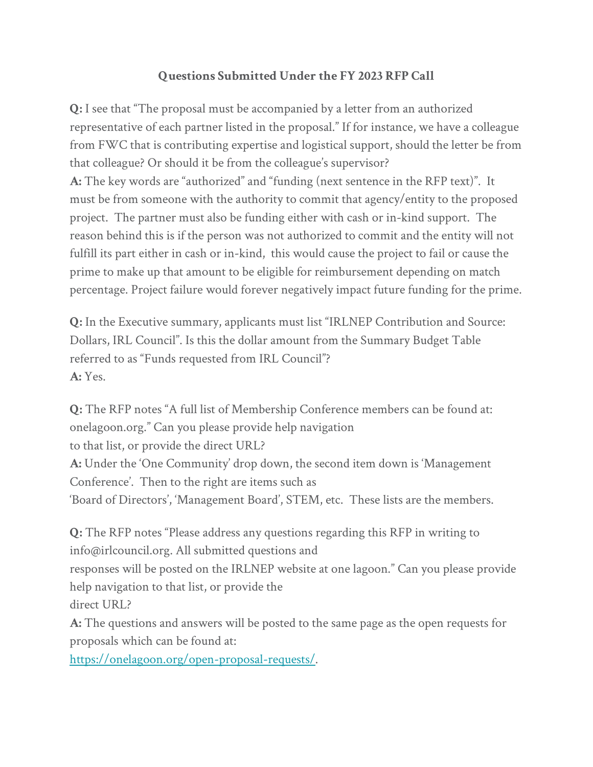## **Questions Submitted Under the FY 2023 RFP Call**

**Q:** I see that "The proposal must be accompanied by a letter from an authorized representative of each partner listed in the proposal." If for instance, we have a colleague from FWC that is contributing expertise and logistical support, should the letter be from that colleague? Or should it be from the colleague's supervisor?

**A:** The key words are "authorized" and "funding (next sentence in the RFP text)". It must be from someone with the authority to commit that agency/entity to the proposed project. The partner must also be funding either with cash or in-kind support. The reason behind this is if the person was not authorized to commit and the entity will not fulfill its part either in cash or in-kind, this would cause the project to fail or cause the prime to make up that amount to be eligible for reimbursement depending on match percentage. Project failure would forever negatively impact future funding for the prime.

**Q:** In the Executive summary, applicants must list "IRLNEP Contribution and Source: Dollars, IRL Council". Is this the dollar amount from the Summary Budget Table referred to as "Funds requested from IRL Council"? **A:** Yes.

**Q:** The RFP notes "A full list of Membership Conference members can be found at: onelagoon.org." Can you please provide help navigation to that list, or provide the direct URL? **A:** Under the 'One Community' drop down, the second item down is 'Management Conference'. Then to the right are items such as 'Board of Directors', 'Management Board', STEM, etc. These lists are the members.

**Q:** The RFP notes "Please address any questions regarding this RFP in writing to info@irlcouncil.org. All submitted questions and responses will be posted on the IRLNEP website at one lagoon." Can you please provide help navigation to that list, or provide the direct URL?

**A:** The questions and answers will be posted to the same page as the open requests for proposals which can be found at:

[https://onelagoon.org/open-proposal-requests/.](https://onelagoon.org/open-proposal-requests/)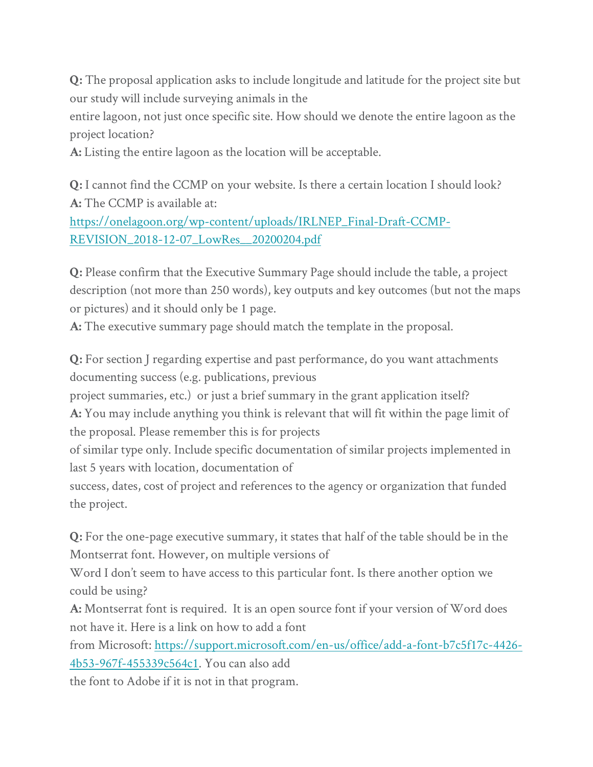**Q:** The proposal application asks to include longitude and latitude for the project site but our study will include surveying animals in the

entire lagoon, not just once specific site. How should we denote the entire lagoon as the project location?

**A:** Listing the entire lagoon as the location will be acceptable.

**Q:** I cannot find the CCMP on your website. Is there a certain location I should look? **A:** The CCMP is available at:

[https://onelagoon.org/wp-content/uploads/IRLNEP\\_Final-Draft-CCMP-](https://onelagoon.org/wp-content/uploads/IRLNEP_Final-Draft-CCMP-REVISION_2018-12-07_LowRes__20200204.pdf)[REVISION\\_2018-12-07\\_LowRes\\_\\_20200204.pdf](https://onelagoon.org/wp-content/uploads/IRLNEP_Final-Draft-CCMP-REVISION_2018-12-07_LowRes__20200204.pdf)

**Q:** Please confirm that the Executive Summary Page should include the table, a project description (not more than 250 words), key outputs and key outcomes (but not the maps or pictures) and it should only be 1 page.

**A:** The executive summary page should match the template in the proposal.

**Q:** For section J regarding expertise and past performance, do you want attachments documenting success (e.g. publications, previous

project summaries, etc.) or just a brief summary in the grant application itself?

**A:** You may include anything you think is relevant that will fit within the page limit of the proposal. Please remember this is for projects

of similar type only. Include specific documentation of similar projects implemented in last 5 years with location, documentation of

success, dates, cost of project and references to the agency or organization that funded the project.

**Q:** For the one-page executive summary, it states that half of the table should be in the Montserrat font. However, on multiple versions of

Word I don't seem to have access to this particular font. Is there another option we could be using?

**A:** Montserrat font is required. It is an open source font if your version of Word does not have it. Here is a link on how to add a font

from Microsoft: [https://support.microsoft.com/en-us/office/add-a-font-b7c5f17c-4426-](https://support.microsoft.com/en-us/office/add-a-font-b7c5f17c-4426-4b53-967f-455339c564c1) [4b53-967f-455339c564c1.](https://support.microsoft.com/en-us/office/add-a-font-b7c5f17c-4426-4b53-967f-455339c564c1) You can also add

the font to Adobe if it is not in that program.